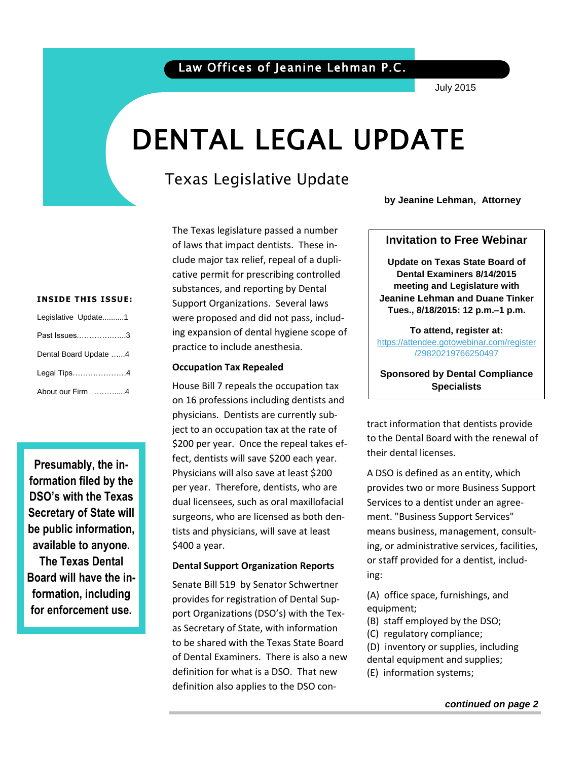July 2015

# DENTAL LEGAL UPDATE

### Texas Legislative Update

The Texas legislature passed a number of laws that impact dentists. These include major tax relief, repeal of a duplicative permit for prescribing controlled substances, and reporting by Dental Support Organizations. Several laws were proposed and did not pass, including expansion of dental hygiene scope of practice to include anesthesia.

#### **Occupation Tax Repealed**

House Bill 7 repeals the occupation tax on 16 professions including dentists and physicians. Dentists are currently subject to an occupation tax at the rate of \$200 per year. Once the repeal takes effect, dentists will save \$200 each year. Physicians will also save at least \$200 per year. Therefore, dentists, who are dual licensees, such as oral maxillofacial surgeons, who are licensed as both dentists and physicians, will save at least \$400 a year.

#### **Dental Support Organization Reports**

Senate Bill 519 by Senator Schwertner provides for registration of Dental Support Organizations (DSO's) with the Texas Secretary of State, with information to be shared with the Texas State Board of Dental Examiners. There is also a new definition for what is a DSO. That new definition also applies to the DSO con**by Jeanine Lehman, Attorney**

## **Invitation to Free Webinar**

**Dental Examiners 8/14/2015 Jeanine Lehman and Duane Tinker**<br>Tues 8/18/2015: 12 p.m –1 p.m **Update on Texas State Board of meeting and Legislature with Tues., 8/18/2015: 12 p.m.–1 p.m.**

> **To attend, register at:** [https://attendee.gotowebinar.com/register](https://attendee.gotowebinar.com/register/29820219766250497) [/29820219766250497](https://attendee.gotowebinar.com/register/29820219766250497)

**Sponsored by Dental Compliance Specialists**

tract information that dentists provide to the Dental Board with the renewal of their dental licenses.

A DSO is defined as an entity, which provides two or more Business Support Services to a dentist under an agreement. "Business Support Services" means business, management, consulting, or administrative services, facilities, or staff provided for a dentist, including:

(A) office space, furnishings, and equipment;

(B) staff employed by the DSO;

(C) regulatory compliance;

(D) inventory or supplies, including

dental equipment and supplies;

(E) information systems;

#### **INSIDE THIS ISSUE:**

| Legislative Update1           |
|-------------------------------|
| Past Issues3                  |
| Dental Board Update 4         |
| Legal Tips4                   |
| About our Firm _____________4 |

**Presumably, the information filed by the DSO's with the Texas Secretary of State will be public information, available to anyone. The Texas Dental Board will have the information, including for enforcement use.**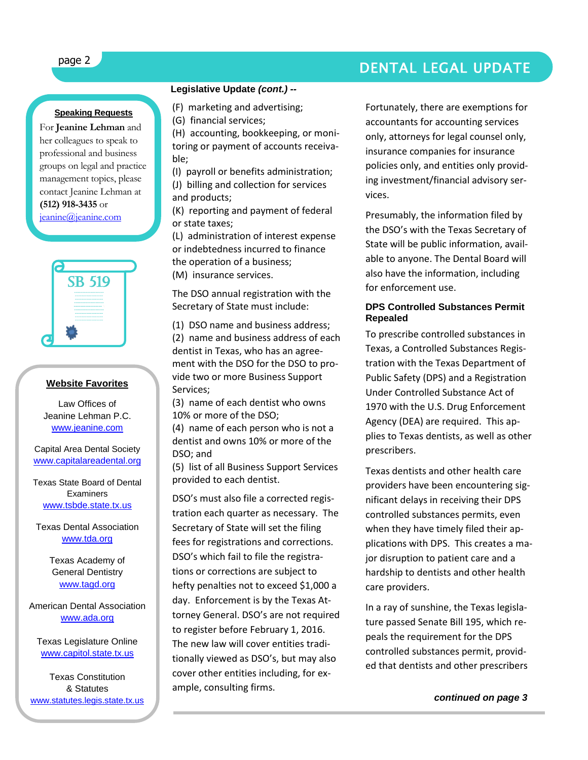#### **Speaking Requests**

For **Jeanine Lehman** and her colleagues to speak to professional and business groups on legal and practice management topics, please contact Jeanine Lehman at **(512) 918-3435** or [jeanine@jeanine.com](mailto:jeanine@jeanine.com)



ļ

#### **Website Favorites**

Law Offices of Jeanine Lehman P.C. [www.jeanine.com](http://www.jeanine.com/)

Capital Area Dental Society [www.capitalareadental.org](http://www.capitalareadental.org/)

Texas State Board of Dental **Examiners** [www.tsbde.state.tx.us](http://www.tsbde.state.tx.us/)

Texas Dental Association [www.tda.org](http://www.tda.org/)

> Texas Academy of General Dentistry [www.tagd.org](http://www.tagd.org/)

American Dental Association [www.ada.org](http://www.ada.org/)

Texas Legislature Online [www.capitol.state.tx.us](http://www.capitol.state.tx.us/)

Texas Constitution & Statutes [www.statutes.legis.state.tx.us](http://www.statutes.legis.state.tx.us/)

#### **Legislative Update** *(cont.) --*

(F) marketing and advertising;

(G) financial services;

(H) accounting, bookkeeping, or monitoring or payment of accounts receivable;

(I) payroll or benefits administration; (J) billing and collection for services and products;

(K) reporting and payment of federal or state taxes;

(L) administration of interest expense or indebtedness incurred to finance the operation of a business; (M) insurance services.

The DSO annual registration with the Secretary of State must include:

(1) DSO name and business address;

(2) name and business address of each dentist in Texas, who has an agreement with the DSO for the DSO to provide two or more Business Support Services;

(3) name of each dentist who owns 10% or more of the DSO; (4) name of each person who is not a

dentist and owns 10% or more of the DSO; and

(5) list of all Business Support Services provided to each dentist.

DSO's must also file a corrected registration each quarter as necessary. The Secretary of State will set the filing fees for registrations and corrections. DSO's which fail to file the registrations or corrections are subject to hefty penalties not to exceed \$1,000 a day. Enforcement is by the Texas Attorney General. DSO's are not required to register before February 1, 2016. The new law will cover entities traditionally viewed as DSO's, but may also cover other entities including, for example, consulting firms.

Fortunately, there are exemptions for accountants for accounting services only, attorneys for legal counsel only, insurance companies for insurance policies only, and entities only providing investment/financial advisory services.

Presumably, the information filed by the DSO's with the Texas Secretary of State will be public information, available to anyone. The Dental Board will also have the information, including for enforcement use.

#### **DPS Controlled Substances Permit Repealed**

To prescribe controlled substances in Texas, a Controlled Substances Registration with the Texas Department of Public Safety (DPS) and a Registration Under Controlled Substance Act of 1970 with the U.S. Drug Enforcement Agency (DEA) are required. This applies to Texas dentists, as well as other prescribers.

Texas dentists and other health care providers have been encountering significant delays in receiving their DPS controlled substances permits, even when they have timely filed their applications with DPS. This creates a major disruption to patient care and a hardship to dentists and other health care providers.

In a ray of sunshine, the Texas legislature passed Senate Bill 195, which repeals the requirement for the DPS controlled substances permit, provided that dentists and other prescribers

### page 2 DENTAL LEGAL UPDATE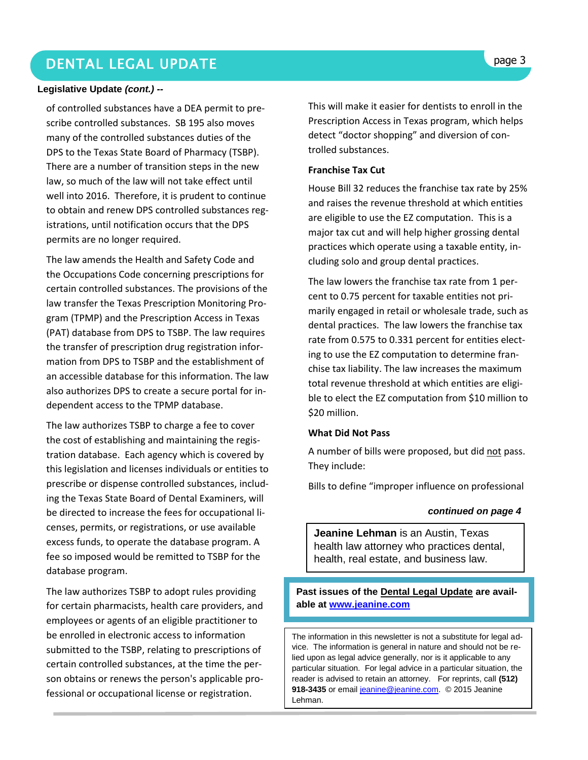### DENTAL LEGAL UPDATE **page 3**

#### **Legislative Update** *(cont.) --*

of controlled substances have a DEA permit to prescribe controlled substances. SB 195 also moves many of the controlled substances duties of the DPS to the Texas State Board of Pharmacy (TSBP). There are a number of transition steps in the new law, so much of the law will not take effect until well into 2016. Therefore, it is prudent to continue to obtain and renew DPS controlled substances registrations, until notification occurs that the DPS permits are no longer required.

The law amends the Health and Safety Code and the Occupations Code concerning prescriptions for certain controlled substances. The provisions of the law transfer the Texas Prescription Monitoring Program (TPMP) and the Prescription Access in Texas (PAT) database from DPS to TSBP. The law requires the transfer of prescription drug registration information from DPS to TSBP and the establishment of an accessible database for this information. The law also authorizes DPS to create a secure portal for independent access to the TPMP database.

The law authorizes TSBP to charge a fee to cover the cost of establishing and maintaining the registration database. Each agency which is covered by this legislation and licenses individuals or entities to prescribe or dispense controlled substances, including the Texas State Board of Dental Examiners, will be directed to increase the fees for occupational licenses, permits, or registrations, or use available excess funds, to operate the database program. A fee so imposed would be remitted to TSBP for the database program.

The law authorizes TSBP to adopt rules providing for certain pharmacists, health care providers, and employees or agents of an eligible practitioner to be enrolled in electronic access to information submitted to the TSBP, relating to prescriptions of certain controlled substances, at the time the person obtains or renews the person's applicable professional or occupational license or registration.

This will make it easier for dentists to enroll in the Prescription Access in Texas program, which helps detect "doctor shopping" and diversion of controlled substances.

#### **Franchise Tax Cut**

House Bill 32 reduces the franchise tax rate by 25% and raises the revenue threshold at which entities are eligible to use the EZ computation. This is a major tax cut and will help higher grossing dental practices which operate using a taxable entity, including solo and group dental practices.

The law lowers the franchise tax rate from 1 percent to 0.75 percent for taxable entities not primarily engaged in retail or wholesale trade, such as dental practices. The law lowers the franchise tax rate from 0.575 to 0.331 percent for entities electing to use the EZ computation to determine franchise tax liability. The law increases the maximum total revenue threshold at which entities are eligible to elect the EZ computation from \$10 million to \$20 million.

#### **What Did Not Pass**

A number of bills were proposed, but did not pass. They include:

Bills to define "improper influence on professional

#### *continued on page 4*

**Jeanine Lehman** is an Austin, Texas health law attorney who practices dental, health, real estate, and business law.

#### **Past issues of the Dental Legal Update are available at [www.jeanine.com](http://www.jeanine.com/)**

The information in this newsletter is not a substitute for legal advice. The information is general in nature and should not be relied upon as legal advice generally, nor is it applicable to any particular situation. For legal advice in a particular situation, the reader is advised to retain an attorney. For reprints, call **(512)**  918-3435 or email [jeanine@jeanine.com.](mailto:jeanine@jeanine.com) © 2015 Jeanine Lehman.